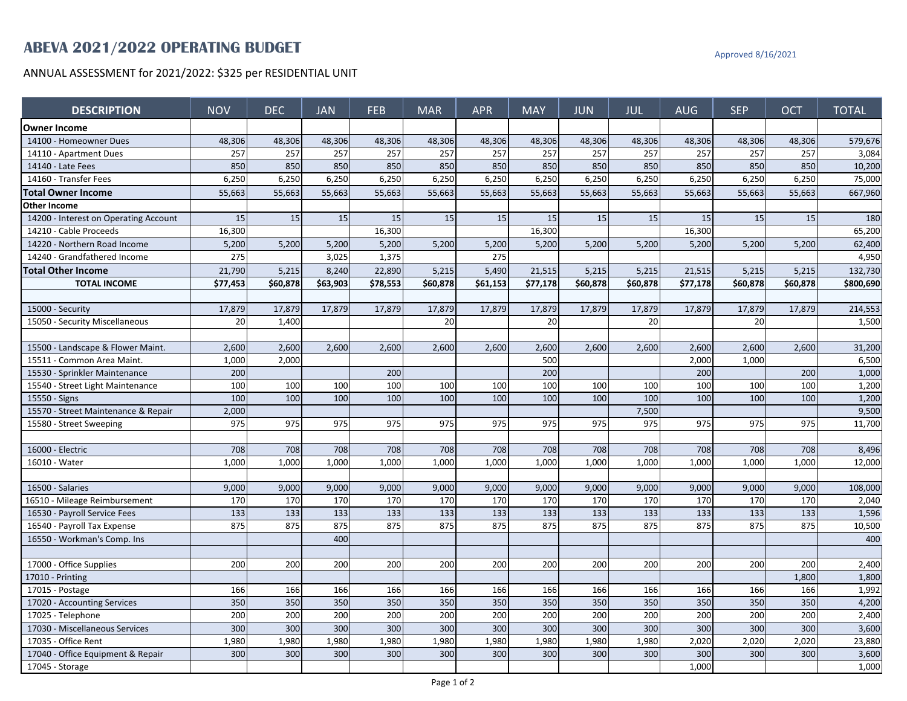## **ABEVA 2021/2022 OPERATING BUDGET** Approved 8/16/2021

ANNUAL ASSESSMENT for 2021/2022: \$325 per RESIDENTIAL UNIT

| <b>DESCRIPTION</b>                    | <b>NOV</b> | <b>DEC</b> | <b>JAN</b> | <b>FEB</b> | <b>MAR</b> | <b>APR</b> | <b>MAY</b> | <b>JUN</b> | <b>JUL</b> | <b>AUG</b> | <b>SEP</b> | <b>OCT</b> | <b>TOTAL</b> |
|---------------------------------------|------------|------------|------------|------------|------------|------------|------------|------------|------------|------------|------------|------------|--------------|
| <b>Owner Income</b>                   |            |            |            |            |            |            |            |            |            |            |            |            |              |
| 14100 - Homeowner Dues                | 48,306     | 48,306     | 48,306     | 48,306     | 48,306     | 48,306     | 48,306     | 48,306     | 48,306     | 48,306     | 48,306     | 48,306     | 579,676      |
| 14110 - Apartment Dues                | 257        | 257        | 257        | 257        | 257        | 257        | 257        | 257        | 257        | 257        | 257        | 257        | 3,084        |
| 14140 - Late Fees                     | 850        | 850        | 850        | 850        | 850        | 850        | 850        | 850        | 850        | 850        | 850        | 850        | 10,200       |
| 14160 - Transfer Fees                 | 6,250      | 6,250      | 6,250      | 6,250      | 6,250      | 6,250      | 6,250      | 6,250      | 6,250      | 6,250      | 6,250      | 6,250      | 75,000       |
| <b>Total Owner Income</b>             | 55,663     | 55,663     | 55,663     | 55,663     | 55,663     | 55,663     | 55,663     | 55,663     | 55,663     | 55,663     | 55,663     | 55,663     | 667,960      |
| <b>Other Income</b>                   |            |            |            |            |            |            |            |            |            |            |            |            |              |
| 14200 - Interest on Operating Account | 15         | 15         | 15         | 15         | 15         | 15         | 15         | 15         | 15         | 15         | 15         | 15         | 180          |
| 14210 - Cable Proceeds                | 16,300     |            |            | 16,300     |            |            | 16,300     |            |            | 16,300     |            |            | 65,200       |
| 14220 - Northern Road Income          | 5,200      | 5,200      | 5,200      | 5,200      | 5,200      | 5,200      | 5,200      | 5,200      | 5,200      | 5,200      | 5,200      | 5,200      | 62,400       |
| 14240 - Grandfathered Income          | 275        |            | 3,025      | 1,375      |            | 275        |            |            |            |            |            |            | 4,950        |
| <b>Total Other Income</b>             | 21,790     | 5,215      | 8,240      | 22,890     | 5,215      | 5,490      | 21,515     | 5,215      | 5,215      | 21,515     | 5,215      | 5,215      | 132,730      |
| <b>TOTAL INCOME</b>                   | \$77,453   | \$60,878   | \$63,903   | \$78.553   | \$60,878   | \$61.153   | \$77,178   | \$60,878   | \$60,878   | \$77,178   | \$60,878   | \$60,878   | \$800,690    |
|                                       |            |            |            |            |            |            |            |            |            |            |            |            |              |
| 15000 - Security                      | 17,879     | 17,879     | 17,879     | 17,879     | 17,879     | 17,879     | 17,879     | 17,879     | 17,879     | 17,879     | 17,879     | 17,879     | 214,553      |
| 15050 - Security Miscellaneous        | 20         | 1,400      |            |            | 20         |            | 20         |            | 20         |            | 20         |            | 1,500        |
|                                       |            |            |            |            |            |            |            |            |            |            |            |            |              |
| 15500 - Landscape & Flower Maint.     | 2,600      | 2,600      | 2,600      | 2,600      | 2,600      | 2,600      | 2,600      | 2,600      | 2,600      | 2,600      | 2,600      | 2,600      | 31,200       |
| 15511 - Common Area Maint.            | 1,000      | 2,000      |            |            |            |            | 500        |            |            | 2,000      | 1,000      |            | 6,500        |
| 15530 - Sprinkler Maintenance         | 200        |            |            | 200        |            |            | 200        |            |            | 200        |            | 200        | 1,000        |
| 15540 - Street Light Maintenance      | 100        | 100        | 100        | 100        | 100        | 100        | 100        | 100        | 100        | 100        | 100        | 100        | 1,200        |
| 15550 - Signs                         | 100        | 100        | 100        | 100        | 100        | 100        | 100        | 100        | 100        | 100        | 100        | 100        | 1,200        |
| 15570 - Street Maintenance & Repair   | 2,000      |            |            |            |            |            |            |            | 7,500      |            |            |            | 9,500        |
| 15580 - Street Sweeping               | 975        | 975        | 975        | 975        | 975        | 975        | 975        | 975        | 975        | 975        | 975        | 975        | 11,700       |
|                                       |            |            |            |            |            |            |            |            |            |            |            |            |              |
| 16000 - Electric                      | 708        | 708        | 708        | 708        | 708        | 708        | 708        | 708        | 708        | 708        | 708        | 708        | 8,496        |
| 16010 - Water                         | 1,000      | 1.000      | 1.000      | 1.000      | 1,000      | 1.000      | 1.000      | 1,000      | 1,000      | 1.000      | 1,000      | 1.000      | 12,000       |
|                                       |            |            |            |            |            |            |            |            |            |            |            |            |              |
| 16500 - Salaries                      | 9,000      | 9,000      | 9,000      | 9,000      | 9,000      | 9,000      | 9,000      | 9,000      | 9,000      | 9,000      | 9,000      | 9,000      | 108,000      |
| 16510 - Mileage Reimbursement         | 170        | 170        | 170        | 170        | 170        | 170        | 170        | 170        | 170        | 170        | 170        | 170        | 2,040        |
| 16530 - Payroll Service Fees          | 133        | 133        | 133        | 133        | 133        | 133        | 133        | 133        | 133        | 133        | 133        | 133        | 1,596        |
| 16540 - Payroll Tax Expense           | 875        | 875        | 875        | 875        | 875        | 875        | 875        | 875        | 875        | 875        | 875        | 875        | 10,500       |
| 16550 - Workman's Comp. Ins           |            |            | 400        |            |            |            |            |            |            |            |            |            | 400          |
|                                       |            |            |            |            |            |            |            |            |            |            |            |            |              |
| 17000 - Office Supplies               | 200        | 200        | 200        | 200        | 200        | 200        | 200        | 200        | 200        | 200        | 200        | 200        | 2,400        |
| 17010 - Printing                      |            |            |            |            |            |            |            |            |            |            |            | 1,800      | 1,800        |
| 17015 - Postage                       | 166        | 166        | 166        | 166        | 166        | 166        | 166        | 166        | 166        | 166        | 166        | 166        | 1,992        |
| 17020 - Accounting Services           | 350        | 350        | 350        | 350        | 350        | 350        | 350        | 350        | 350        | 350        | 350        | 350        | 4,200        |
| 17025 - Telephone                     | 200        | 200        | 200        | 200        | 200        | 200        | 200        | 200        | 200        | 200        | 200        | 200        | 2,400        |
| 17030 - Miscellaneous Services        | 300        | 300        | 300        | 300        | 300        | 300        | 300        | 300        | 300        | 300        | 300        | 300        | 3,600        |
| 17035 - Office Rent                   | 1,980      | 1,980      | 1,980      | 1,980      | 1,980      | 1,980      | 1,980      | 1,980      | 1,980      | 2,020      | 2,020      | 2,020      | 23,880       |
| 17040 - Office Equipment & Repair     | 300        | 300        | 300        | 300        | 300        | 300        | 300        | 300        | 300        | 300        | 300        | 300        | 3,600        |
| 17045 - Storage                       |            |            |            |            |            |            |            |            |            | 1,000      |            |            | 1,000        |